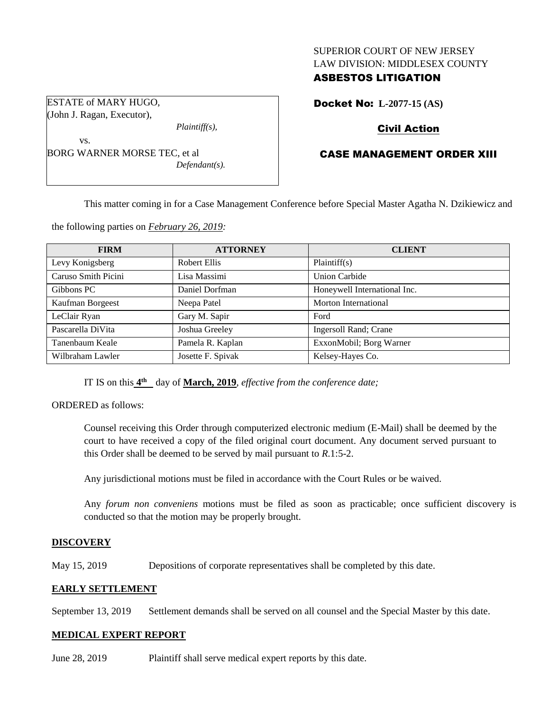#### SUPERIOR COURT OF NEW JERSEY LAW DIVISION: MIDDLESEX COUNTY

## ASBESTOS LITIGATION

ESTATE of MARY HUGO, (John J. Ragan, Executor),

*Plaintiff(s),*

vs. BORG WARNER MORSE TEC, et al *Defendant(s).* Docket No: **L-2077-15 (AS)** 

## Civil Action

# CASE MANAGEMENT ORDER XIII

This matter coming in for a Case Management Conference before Special Master Agatha N. Dzikiewicz and

the following parties on *February 26, 2019:*

| <b>FIRM</b>         | <b>ATTORNEY</b>   | <b>CLIENT</b>                |
|---------------------|-------------------|------------------------------|
| Levy Konigsberg     | Robert Ellis      | Plaintiff(s)                 |
| Caruso Smith Picini | Lisa Massimi      | <b>Union Carbide</b>         |
| Gibbons PC          | Daniel Dorfman    | Honeywell International Inc. |
| Kaufman Borgeest    | Neepa Patel       | Morton International         |
| LeClair Ryan        | Gary M. Sapir     | Ford                         |
| Pascarella DiVita   | Joshua Greeley    | Ingersoll Rand; Crane        |
| Tanenbaum Keale     | Pamela R. Kaplan  | ExxonMobil; Borg Warner      |
| Wilbraham Lawler    | Josette F. Spivak | Kelsey-Hayes Co.             |

IT IS on this  $4^{\text{th}}$  day of March, 2019, *effective from the conference date*;

ORDERED as follows:

Counsel receiving this Order through computerized electronic medium (E-Mail) shall be deemed by the court to have received a copy of the filed original court document. Any document served pursuant to this Order shall be deemed to be served by mail pursuant to *R*.1:5-2.

Any jurisdictional motions must be filed in accordance with the Court Rules or be waived.

Any *forum non conveniens* motions must be filed as soon as practicable; once sufficient discovery is conducted so that the motion may be properly brought.

## **DISCOVERY**

May 15, 2019 Depositions of corporate representatives shall be completed by this date.

## **EARLY SETTLEMENT**

September 13, 2019 Settlement demands shall be served on all counsel and the Special Master by this date.

## **MEDICAL EXPERT REPORT**

June 28, 2019 Plaintiff shall serve medical expert reports by this date.